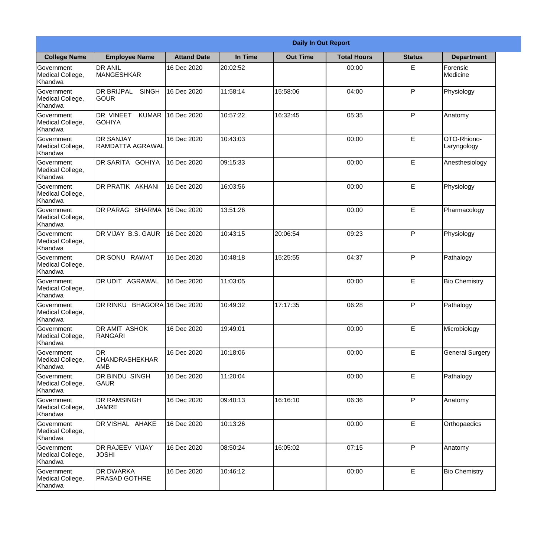|                                           |                                            |                    |          | <b>Daily In Out Report</b> |                    |               |                            |
|-------------------------------------------|--------------------------------------------|--------------------|----------|----------------------------|--------------------|---------------|----------------------------|
| <b>College Name</b>                       | <b>Employee Name</b>                       | <b>Attand Date</b> | In Time  | <b>Out Time</b>            | <b>Total Hours</b> | <b>Status</b> | <b>Department</b>          |
| Government<br>Medical College,<br>Khandwa | <b>DR ANIL</b><br><b>MANGESHKAR</b>        | 16 Dec 2020        | 20:02:52 |                            | 00:00              | E             | Forensic<br>Medicine       |
| Government<br>Medical College,<br>Khandwa | DR BRIJPAL<br><b>SINGH</b><br><b>GOUR</b>  | 16 Dec 2020        | 11:58:14 | 15:58:06                   | 04:00              | P             | Physiology                 |
| Government<br>Medical College,<br>Khandwa | DR VINEET<br><b>KUMAR</b><br><b>GOHIYA</b> | 16 Dec 2020        | 10:57:22 | 16:32:45                   | 05:35              | P             | Anatomy                    |
| Government<br>Medical College,<br>Khandwa | <b>DR SANJAY</b><br>RAMDATTA AGRAWAL       | 16 Dec 2020        | 10:43:03 |                            | 00:00              | E             | OTO-Rhiono-<br>Laryngology |
| Government<br>Medical College,<br>Khandwa | DR SARITA GOHIYA                           | 16 Dec 2020        | 09:15:33 |                            | 00:00              | E             | Anesthesiology             |
| Government<br>Medical College,<br>Khandwa | DR PRATIK AKHANI                           | 16 Dec 2020        | 16:03:56 |                            | 00:00              | E             | Physiology                 |
| Government<br>Medical College,<br>Khandwa | DR PARAG SHARMA                            | 16 Dec 2020        | 13:51:26 |                            | 00:00              | E             | Pharmacology               |
| Government<br>Medical College,<br>Khandwa | DR VIJAY B.S. GAUR                         | 16 Dec 2020        | 10:43:15 | 20:06:54                   | 09:23              | P             | Physiology                 |
| Government<br>Medical College,<br>Khandwa | DR SONU RAWAT                              | 16 Dec 2020        | 10:48:18 | 15:25:55                   | 04:37              | P             | Pathalogy                  |
| Government<br>Medical College,<br>Khandwa | DR UDIT<br>AGRAWAL                         | 16 Dec 2020        | 11:03:05 |                            | 00:00              | E             | <b>Bio Chemistry</b>       |
| Government<br>Medical College,<br>Khandwa | <b>DR RINKU</b><br><b>BHAGORA</b>          | 16 Dec 2020        | 10:49:32 | 17:17:35                   | 06:28              | P             | Pathalogy                  |
| Government<br>Medical College,<br>Khandwa | <b>DR AMIT ASHOK</b><br><b>RANGARI</b>     | 16 Dec 2020        | 19:49:01 |                            | 00:00              | E             | Microbiology               |
| Government<br>Medical College,<br>Khandwa | <b>DR</b><br> CHANDRASHEKHAR<br>AMB        | 16 Dec 2020        | 10:18:06 |                            | 00:00              | E             | <b>General Surgery</b>     |
| Government<br>Medical College,<br>Khandwa | DR BINDU SINGH<br>GAUR                     | 16 Dec 2020        | 11:20:04 |                            | 00:00              | E             | Pathalogy                  |
| Government<br>Medical College,<br>Khandwa | DR RAMSINGH<br><b>JAMRE</b>                | 16 Dec 2020        | 09:40:13 | 16:16:10                   | 06:36              | P             | Anatomy                    |
| Government<br>Medical College,<br>Khandwa | DR VISHAL AHAKE                            | 16 Dec 2020        | 10:13:26 |                            | 00:00              | E             | Orthopaedics               |
| Government<br>Medical College,<br>Khandwa | DR RAJEEV VIJAY<br><b>JOSHI</b>            | 16 Dec 2020        | 08:50:24 | 16:05:02                   | 07:15              | P             | Anatomy                    |
| Government<br>Medical College,<br>Khandwa | DR DWARKA<br><b>PRASAD GOTHRE</b>          | 16 Dec 2020        | 10:46:12 |                            | 00:00              | E             | <b>Bio Chemistry</b>       |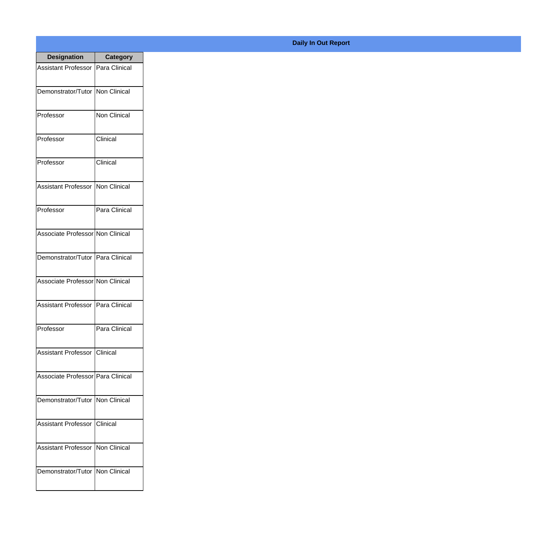| <b>Designation</b>                  | <b>Category</b> |
|-------------------------------------|-----------------|
| Assistant Professor   Para Clinical |                 |
| Demonstrator/Tutor   Non Clinical   |                 |
| Professor                           | Non Clinical    |
| Professor                           | Clinical        |
| Professor                           | Clinical        |
| Assistant Professor   Non Clinical  |                 |
| Professor                           | Para Clinical   |
| Associate Professor Non Clinical    |                 |
| Demonstrator/Tutor   Para Clinical  |                 |
| Associate Professor Non Clinical    |                 |
| <b>Assistant Professor</b>          | Para Clinical   |
| Professor                           | Para Clinical   |
| Assistant Professor Clinical        |                 |
| Associate Professor Para Clinical   |                 |
| Demonstrator/Tutor   Non Clinical   |                 |
| <b>Assistant Professor</b>          | IClinical       |
| Assistant Professor   Non Clinical  |                 |
| Demonstrator/Tutor   Non Clinical   |                 |

## **Daily In Out Report**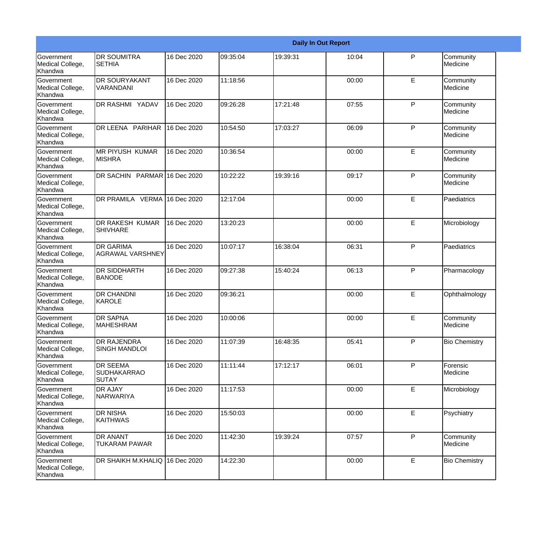|                                                  |                                                       |             |          |          | <b>Daily In Out Report</b> |              |                       |
|--------------------------------------------------|-------------------------------------------------------|-------------|----------|----------|----------------------------|--------------|-----------------------|
| Government<br>Medical College,<br>Khandwa        | <b>DR SOUMITRA</b><br><b>SETHIA</b>                   | 16 Dec 2020 | 09:35:04 | 19:39:31 | 10:04                      | P            | Community<br>Medicine |
| <b>Government</b><br>Medical College,<br>Khandwa | <b>DR SOURYAKANT</b><br>VARANDANI                     | 16 Dec 2020 | 11:18:56 |          | 00:00                      | E            | Community<br>Medicine |
| <b>Government</b><br>Medical College,<br>Khandwa | DR RASHMI YADAV                                       | 16 Dec 2020 | 09:26:28 | 17:21:48 | 07:55                      | P            | Community<br>Medicine |
| <b>Government</b><br>Medical College,<br>Khandwa | DR LEENA PARIHAR                                      | 16 Dec 2020 | 10:54:50 | 17:03:27 | 06:09                      | $\mathsf{P}$ | Community<br>Medicine |
| <b>Government</b><br>Medical College,<br>Khandwa | MR PIYUSH KUMAR<br><b>MISHRA</b>                      | 16 Dec 2020 | 10:36:54 |          | 00:00                      | E            | Community<br>Medicine |
| Government<br>Medical College,<br>Khandwa        | DR SACHIN PARMAR 16 Dec 2020                          |             | 10:22:22 | 19:39:16 | 09:17                      | $\mathsf{P}$ | Community<br>Medicine |
| Government<br>Medical College,<br>Khandwa        | DR PRAMILA VERMA                                      | 16 Dec 2020 | 12:17:04 |          | 00:00                      | E            | Paediatrics           |
| Government<br>Medical College,<br>Khandwa        | DR RAKESH KUMAR<br><b>SHIVHARE</b>                    | 16 Dec 2020 | 13:20:23 |          | 00:00                      | E            | Microbiology          |
| Government<br>Medical College,<br>Khandwa        | <b>DR GARIMA</b><br><b>AGRAWAL VARSHNEY</b>           | 16 Dec 2020 | 10:07:17 | 16:38:04 | 06:31                      | $\mathsf{P}$ | Paediatrics           |
| <b>Government</b><br>Medical College,<br>Khandwa | <b>DR SIDDHARTH</b><br><b>BANODE</b>                  | 16 Dec 2020 | 09:27:38 | 15:40:24 | 06:13                      | $\mathsf{P}$ | Pharmacology          |
| <b>Government</b><br>Medical College,<br>Khandwa | <b>DR CHANDNI</b><br>KAROLE                           | 16 Dec 2020 | 09:36:21 |          | 00:00                      | E            | Ophthalmology         |
| Government<br>Medical College,<br>Khandwa        | <b>DR SAPNA</b><br><b>MAHESHRAM</b>                   | 16 Dec 2020 | 10:00:06 |          | 00:00                      | E            | Community<br>Medicine |
| Government<br>Medical College,<br>Khandwa        | DR RAJENDRA<br><b>SINGH MANDLOI</b>                   | 16 Dec 2020 | 11:07:39 | 16:48:35 | 05:41                      | P            | <b>Bio Chemistry</b>  |
| Government<br>Medical College,<br>Khandwa        | <b>DR SEEMA</b><br><b>SUDHAKARRAO</b><br><b>SUTAY</b> | 16 Dec 2020 | 11:11:44 | 17:12:17 | 06:01                      | P            | Forensic<br>Medicine  |
| Government<br>Medical College,<br>Khandwa        | <b>DR AJAY</b><br>NARWARIYA                           | 16 Dec 2020 | 11:17:53 |          | 00:00                      | E            | Microbiology          |
| Government<br>Medical College,<br>Khandwa        | <b>DR NISHA</b><br><b>KAITHWAS</b>                    | 16 Dec 2020 | 15:50:03 |          | 00:00                      | E            | Psychiatry            |
| Government<br>Medical College,<br>Khandwa        | DR ANANT<br><b>TUKARAM PAWAR</b>                      | 16 Dec 2020 | 11:42:30 | 19:39:24 | 07:57                      | P            | Community<br>Medicine |
| Government<br>Medical College,<br>Khandwa        | DR SHAIKH M.KHALIQ                                    | 16 Dec 2020 | 14:22:30 |          | 00:00                      | E            | <b>Bio Chemistry</b>  |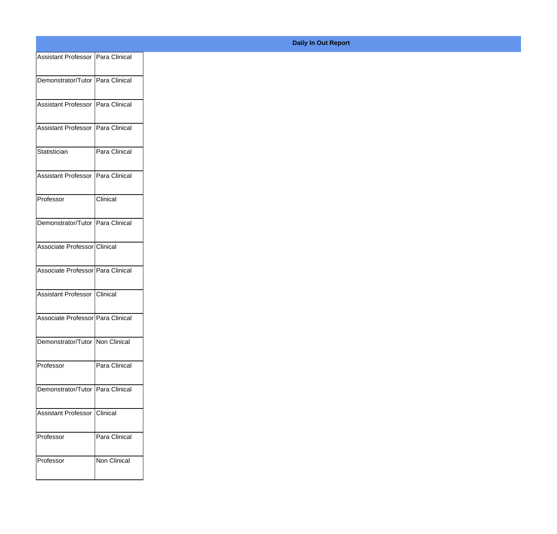| Assistant Professor   Para Clinical |               |
|-------------------------------------|---------------|
|                                     |               |
| Demonstrator/Tutor Para Clinical    |               |
| Assistant Professor   Para Clinical |               |
|                                     |               |
| Assistant Professor   Para Clinical |               |
| Statistician                        | Para Clinical |
|                                     |               |
| Assistant Professor   Para Clinical |               |
| Professor                           | Clinical      |
| Demonstrator/Tutor   Para Clinical  |               |
|                                     |               |
| Associate Professor Clinical        |               |
| Associate Professor Para Clinical   |               |
|                                     |               |
| Assistant Professor Clinical        |               |
| Associate Professor Para Clinical   |               |
|                                     |               |
| Demonstrator/Tutor   Non Clinical   |               |
| Professor                           | Para Clinical |
|                                     |               |
| Demonstrator/Tutor   Para Clinical  |               |
| Assistant Professor   Clinical      |               |
|                                     |               |
| Professor                           | Para Clinical |
| Professor                           | Non Clinical  |
|                                     |               |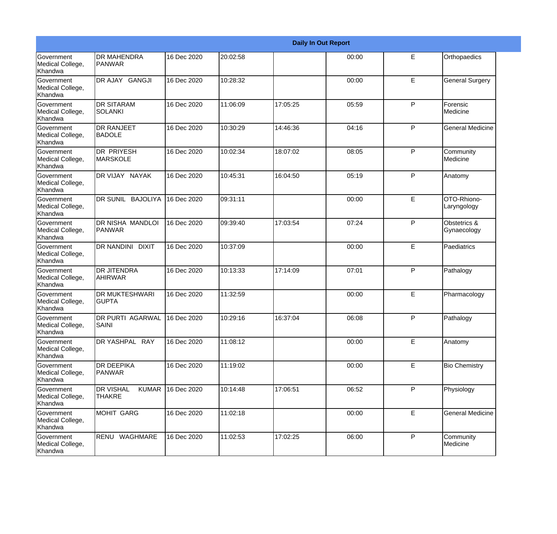|                                                  |                                                   |             |          |          | <b>Daily In Out Report</b> |    |                             |
|--------------------------------------------------|---------------------------------------------------|-------------|----------|----------|----------------------------|----|-----------------------------|
| <b>Government</b><br>Medical College,<br>Khandwa | <b>DR MAHENDRA</b><br>PANWAR                      | 16 Dec 2020 | 20:02:58 |          | 00:00                      | E  | Orthopaedics                |
| <b>Government</b><br>Medical College,<br>Khandwa | DR AJAY GANGJI                                    | 16 Dec 2020 | 10:28:32 |          | 00:00                      | E  | <b>General Surgery</b>      |
| Government<br>Medical College,<br>Khandwa        | <b>DR SITARAM</b><br><b>SOLANKI</b>               | 16 Dec 2020 | 11:06:09 | 17:05:25 | 05:59                      | P  | Forensic<br>Medicine        |
| Government<br>Medical College,<br>Khandwa        | <b>DR RANJEET</b><br><b>BADOLE</b>                | 16 Dec 2020 | 10:30:29 | 14:46:36 | 04:16                      | P  | <b>General Medicine</b>     |
| <b>Government</b><br>Medical College,<br>Khandwa | <b>DR PRIYESH</b><br>MARSKOLE                     | 16 Dec 2020 | 10:02:34 | 18:07:02 | 08:05                      | P  | Community<br>Medicine       |
| Government<br>Medical College,<br>Khandwa        | DR VIJAY NAYAK                                    | 16 Dec 2020 | 10:45:31 | 16:04:50 | 05:19                      | P  | Anatomy                     |
| <b>Government</b><br>Medical College,<br>Khandwa | DR SUNIL BAJOLIYA                                 | 16 Dec 2020 | 09:31:11 |          | 00:00                      | E  | OTO-Rhiono-<br>Laryngology  |
| Government<br>Medical College,<br>Khandwa        | DR NISHA MANDLOI<br>PANWAR                        | 16 Dec 2020 | 09:39:40 | 17:03:54 | 07:24                      | P  | Obstetrics &<br>Gynaecology |
| Government<br>Medical College,<br>Khandwa        | DR NANDINI DIXIT                                  | 16 Dec 2020 | 10:37:09 |          | 00:00                      | E  | Paediatrics                 |
| <b>Government</b><br>Medical College,<br>Khandwa | <b>DR JITENDRA</b><br>AHIRWAR                     | 16 Dec 2020 | 10:13:33 | 17:14:09 | 07:01                      | P  | Pathalogy                   |
| Government<br>Medical College,<br>Khandwa        | <b>DR MUKTESHWARI</b><br><b>GUPTA</b>             | 16 Dec 2020 | 11:32:59 |          | 00:00                      | E  | Pharmacology                |
| Government<br>Medical College,<br>Khandwa        | DR PURTI AGARWAL<br>SAINI                         | 16 Dec 2020 | 10:29:16 | 16:37:04 | 06:08                      | P  | Pathalogy                   |
| Government<br>Medical College,<br>Khandwa        | DR YASHPAL RAY                                    | 16 Dec 2020 | 11:08:12 |          | 00:00                      | E  | Anatomy                     |
| Government<br>Medical College,<br>Khandwa        | <b>DR DEEPIKA</b><br>PANWAR                       | 16 Dec 2020 | 11:19:02 |          | 00:00                      | E. | <b>Bio Chemistry</b>        |
| Government<br>Medical College,<br>Khandwa        | <b>DR VISHAL</b><br><b>KUMAR</b><br><b>THAKRE</b> | 16 Dec 2020 | 10:14:48 | 17:06:51 | 06:52                      | P  | Physiology                  |
| Government<br>Medical College,<br>Khandwa        | MOHIT GARG                                        | 16 Dec 2020 | 11:02:18 |          | 00:00                      | E  | <b>General Medicine</b>     |
| Government<br>Medical College,<br>Khandwa        | RENU WAGHMARE                                     | 16 Dec 2020 | 11:02:53 | 17:02:25 | 06:00                      | P  | Community<br>Medicine       |